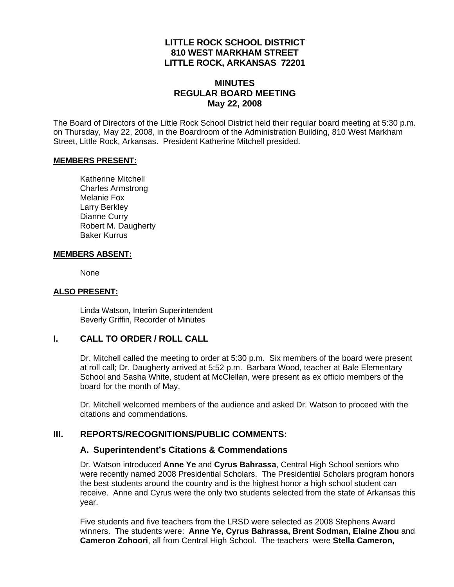### **LITTLE ROCK SCHOOL DISTRICT 810 WEST MARKHAM STREET LITTLE ROCK, ARKANSAS 72201**

### **MINUTES REGULAR BOARD MEETING May 22, 2008**

The Board of Directors of the Little Rock School District held their regular board meeting at 5:30 p.m. on Thursday, May 22, 2008, in the Boardroom of the Administration Building, 810 West Markham Street, Little Rock, Arkansas. President Katherine Mitchell presided.

#### **MEMBERS PRESENT:**

Katherine Mitchell Charles Armstrong Melanie Fox Larry Berkley Dianne Curry Robert M. Daugherty Baker Kurrus

#### **MEMBERS ABSENT:**

None

#### **ALSO PRESENT:**

 Linda Watson, Interim Superintendent Beverly Griffin, Recorder of Minutes

#### **I. CALL TO ORDER / ROLL CALL**

Dr. Mitchell called the meeting to order at 5:30 p.m. Six members of the board were present at roll call; Dr. Daugherty arrived at 5:52 p.m. Barbara Wood, teacher at Bale Elementary School and Sasha White, student at McClellan, were present as ex officio members of the board for the month of May.

Dr. Mitchell welcomed members of the audience and asked Dr. Watson to proceed with the citations and commendations.

### **III. REPORTS/RECOGNITIONS/PUBLIC COMMENTS:**

#### **A. Superintendent's Citations & Commendations**

Dr. Watson introduced **Anne Ye** and **Cyrus Bahrassa**, Central High School seniors who were recently named 2008 Presidential Scholars. The Presidential Scholars program honors the best students around the country and is the highest honor a high school student can receive. Anne and Cyrus were the only two students selected from the state of Arkansas this year.

Five students and five teachers from the LRSD were selected as 2008 Stephens Award winners. The students were: **Anne Ye, Cyrus Bahrassa, Brent Sodman, Elaine Zhou** and **Cameron Zohoori**, all from Central High School. The teachers were **Stella Cameron,**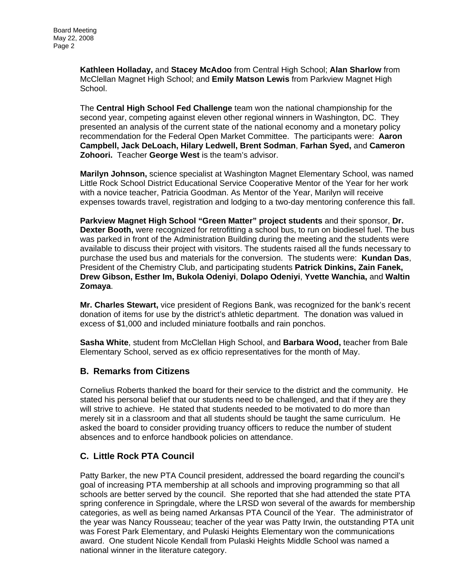**Kathleen Holladay,** and **Stacey McAdoo** from Central High School; **Alan Sharlow** from McClellan Magnet High School; and **Emily Matson Lewis** from Parkview Magnet High School.

The **Central High School Fed Challenge** team won the national championship for the second year, competing against eleven other regional winners in Washington, DC. They presented an analysis of the current state of the national economy and a monetary policy recommendation for the Federal Open Market Committee. The participants were: **Aaron Campbell, Jack DeLoach, Hilary Ledwell, Brent Sodman**, **Farhan Syed,** and **Cameron Zohoori.** Teacher **George West** is the team's advisor.

**Marilyn Johnson,** science specialist at Washington Magnet Elementary School, was named Little Rock School District Educational Service Cooperative Mentor of the Year for her work with a novice teacher, Patricia Goodman. As Mentor of the Year, Marilyn will receive expenses towards travel, registration and lodging to a two-day mentoring conference this fall.

**Parkview Magnet High School "Green Matter" project students** and their sponsor, **Dr. Dexter Booth,** were recognized for retrofitting a school bus, to run on biodiesel fuel. The bus was parked in front of the Administration Building during the meeting and the students were available to discuss their project with visitors. The students raised all the funds necessary to purchase the used bus and materials for the conversion. The students were: **Kundan Das**, President of the Chemistry Club, and participating students **Patrick Dinkins, Zain Fanek, Drew Gibson, Esther Im, Bukola Odeniyi**, **Dolapo Odeniyi**, **Yvette Wanchia,** and **Waltin Zomaya**.

**Mr. Charles Stewart,** vice president of Regions Bank, was recognized for the bank's recent donation of items for use by the district's athletic department. The donation was valued in excess of \$1,000 and included miniature footballs and rain ponchos.

**Sasha White**, student from McClellan High School, and **Barbara Wood,** teacher from Bale Elementary School, served as ex officio representatives for the month of May.

### **B. Remarks from Citizens**

Cornelius Roberts thanked the board for their service to the district and the community. He stated his personal belief that our students need to be challenged, and that if they are they will strive to achieve. He stated that students needed to be motivated to do more than merely sit in a classroom and that all students should be taught the same curriculum. He asked the board to consider providing truancy officers to reduce the number of student absences and to enforce handbook policies on attendance.

# **C. Little Rock PTA Council**

Patty Barker, the new PTA Council president, addressed the board regarding the council's goal of increasing PTA membership at all schools and improving programming so that all schools are better served by the council. She reported that she had attended the state PTA spring conference in Springdale, where the LRSD won several of the awards for membership categories, as well as being named Arkansas PTA Council of the Year. The administrator of the year was Nancy Rousseau; teacher of the year was Patty Irwin, the outstanding PTA unit was Forest Park Elementary, and Pulaski Heights Elementary won the communications award. One student Nicole Kendall from Pulaski Heights Middle School was named a national winner in the literature category.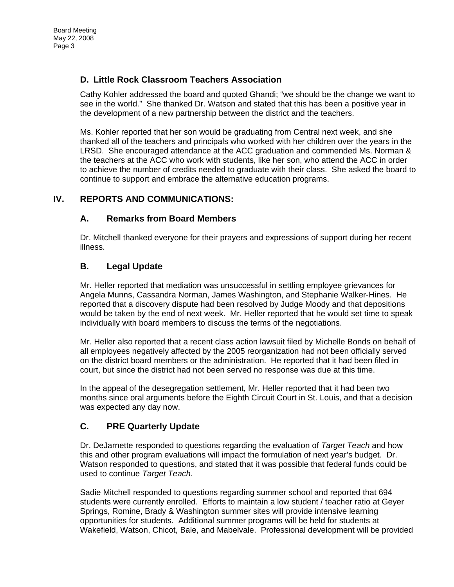# **D. Little Rock Classroom Teachers Association**

Cathy Kohler addressed the board and quoted Ghandi; "we should be the change we want to see in the world." She thanked Dr. Watson and stated that this has been a positive year in the development of a new partnership between the district and the teachers.

Ms. Kohler reported that her son would be graduating from Central next week, and she thanked all of the teachers and principals who worked with her children over the years in the LRSD. She encouraged attendance at the ACC graduation and commended Ms. Norman & the teachers at the ACC who work with students, like her son, who attend the ACC in order to achieve the number of credits needed to graduate with their class. She asked the board to continue to support and embrace the alternative education programs.

# **IV. REPORTS AND COMMUNICATIONS:**

## **A. Remarks from Board Members**

Dr. Mitchell thanked everyone for their prayers and expressions of support during her recent illness.

## **B. Legal Update**

Mr. Heller reported that mediation was unsuccessful in settling employee grievances for Angela Munns, Cassandra Norman, James Washington, and Stephanie Walker-Hines. He reported that a discovery dispute had been resolved by Judge Moody and that depositions would be taken by the end of next week. Mr. Heller reported that he would set time to speak individually with board members to discuss the terms of the negotiations.

Mr. Heller also reported that a recent class action lawsuit filed by Michelle Bonds on behalf of all employees negatively affected by the 2005 reorganization had not been officially served on the district board members or the administration. He reported that it had been filed in court, but since the district had not been served no response was due at this time.

In the appeal of the desegregation settlement, Mr. Heller reported that it had been two months since oral arguments before the Eighth Circuit Court in St. Louis, and that a decision was expected any day now.

# **C. PRE Quarterly Update**

Dr. DeJarnette responded to questions regarding the evaluation of *Target Teach* and how this and other program evaluations will impact the formulation of next year's budget. Dr. Watson responded to questions, and stated that it was possible that federal funds could be used to continue *Target Teach*.

Sadie Mitchell responded to questions regarding summer school and reported that 694 students were currently enrolled. Efforts to maintain a low student / teacher ratio at Geyer Springs, Romine, Brady & Washington summer sites will provide intensive learning opportunities for students. Additional summer programs will be held for students at Wakefield, Watson, Chicot, Bale, and Mabelvale. Professional development will be provided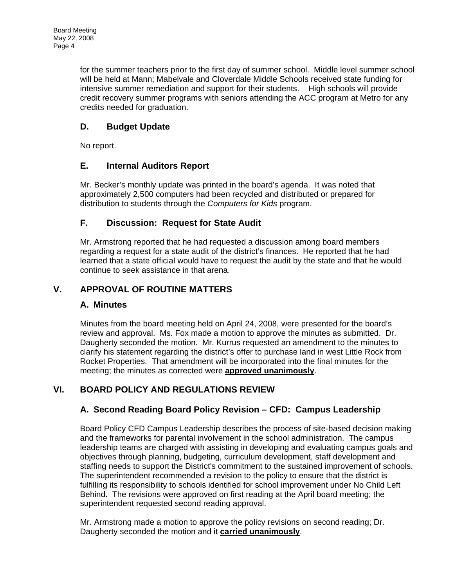for the summer teachers prior to the first day of summer school. Middle level summer school will be held at Mann; Mabelvale and Cloverdale Middle Schools received state funding for intensive summer remediation and support for their students. High schools will provide credit recovery summer programs with seniors attending the ACC program at Metro for any credits needed for graduation.

# **D. Budget Update**

No report.

## **E. Internal Auditors Report**

Mr. Becker's monthly update was printed in the board's agenda. It was noted that approximately 2,500 computers had been recycled and distributed or prepared for distribution to students through the *Computers for Kids* program.

## **F. Discussion: Request for State Audit**

Mr. Armstrong reported that he had requested a discussion among board members regarding a request for a state audit of the district's finances. He reported that he had learned that a state official would have to request the audit by the state and that he would continue to seek assistance in that arena.

# **V. APPROVAL OF ROUTINE MATTERS**

### **A. Minutes**

Minutes from the board meeting held on April 24, 2008, were presented for the board's review and approval. Ms. Fox made a motion to approve the minutes as submitted. Dr. Daugherty seconded the motion. Mr. Kurrus requested an amendment to the minutes to clarify his statement regarding the district's offer to purchase land in west Little Rock from Rocket Properties. That amendment will be incorporated into the final minutes for the meeting; the minutes as corrected were **approved unanimously**.

# **VI. BOARD POLICY AND REGULATIONS REVIEW**

# **A. Second Reading Board Policy Revision – CFD: Campus Leadership**

Board Policy CFD Campus Leadership describes the process of site-based decision making and the frameworks for parental involvement in the school administration. The campus leadership teams are charged with assisting in developing and evaluating campus goals and objectives through planning, budgeting, curriculum development, staff development and staffing needs to support the District's commitment to the sustained improvement of schools. The superintendent recommended a revision to the policy to ensure that the district is fulfilling its responsibility to schools identified for school improvement under No Child Left Behind. The revisions were approved on first reading at the April board meeting; the superintendent requested second reading approval.

Mr. Armstrong made a motion to approve the policy revisions on second reading; Dr. Daugherty seconded the motion and it **carried unanimously**.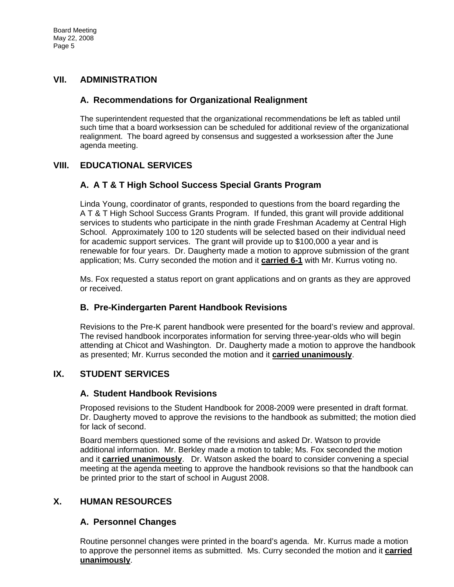### **VII. ADMINISTRATION**

### **A. Recommendations for Organizational Realignment**

The superintendent requested that the organizational recommendations be left as tabled until such time that a board worksession can be scheduled for additional review of the organizational realignment. The board agreed by consensus and suggested a worksession after the June agenda meeting.

## **VIII. EDUCATIONAL SERVICES**

### **A. A T & T High School Success Special Grants Program**

Linda Young, coordinator of grants, responded to questions from the board regarding the A T & T High School Success Grants Program. If funded, this grant will provide additional services to students who participate in the ninth grade Freshman Academy at Central High School. Approximately 100 to 120 students will be selected based on their individual need for academic support services. The grant will provide up to \$100,000 a year and is renewable for four years. Dr. Daugherty made a motion to approve submission of the grant application; Ms. Curry seconded the motion and it **carried 6-1** with Mr. Kurrus voting no.

Ms. Fox requested a status report on grant applications and on grants as they are approved or received.

### **B. Pre-Kindergarten Parent Handbook Revisions**

Revisions to the Pre-K parent handbook were presented for the board's review and approval. The revised handbook incorporates information for serving three-year-olds who will begin attending at Chicot and Washington. Dr. Daugherty made a motion to approve the handbook as presented; Mr. Kurrus seconded the motion and it **carried unanimously**.

### **IX. STUDENT SERVICES**

#### **A. Student Handbook Revisions**

Proposed revisions to the Student Handbook for 2008-2009 were presented in draft format. Dr. Daugherty moved to approve the revisions to the handbook as submitted; the motion died for lack of second.

Board members questioned some of the revisions and asked Dr. Watson to provide additional information. Mr. Berkley made a motion to table; Ms. Fox seconded the motion and it **carried unanimously**. Dr. Watson asked the board to consider convening a special meeting at the agenda meeting to approve the handbook revisions so that the handbook can be printed prior to the start of school in August 2008.

### **X. HUMAN RESOURCES**

### **A. Personnel Changes**

Routine personnel changes were printed in the board's agenda. Mr. Kurrus made a motion to approve the personnel items as submitted. Ms. Curry seconded the motion and it **carried unanimously**.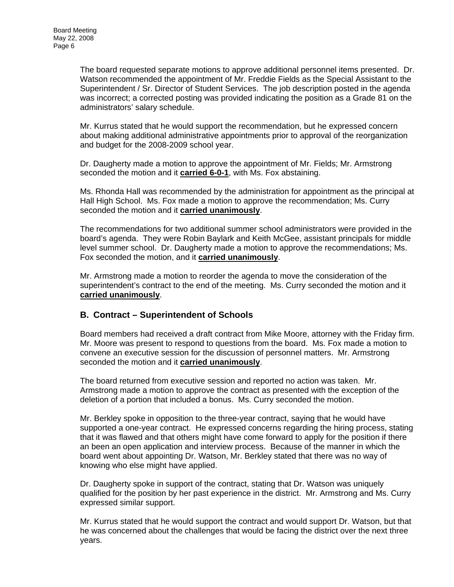The board requested separate motions to approve additional personnel items presented. Dr. Watson recommended the appointment of Mr. Freddie Fields as the Special Assistant to the Superintendent / Sr. Director of Student Services. The job description posted in the agenda was incorrect; a corrected posting was provided indicating the position as a Grade 81 on the administrators' salary schedule.

Mr. Kurrus stated that he would support the recommendation, but he expressed concern about making additional administrative appointments prior to approval of the reorganization and budget for the 2008-2009 school year.

Dr. Daugherty made a motion to approve the appointment of Mr. Fields; Mr. Armstrong seconded the motion and it **carried 6-0-1**, with Ms. Fox abstaining.

Ms. Rhonda Hall was recommended by the administration for appointment as the principal at Hall High School. Ms. Fox made a motion to approve the recommendation; Ms. Curry seconded the motion and it **carried unanimously**.

The recommendations for two additional summer school administrators were provided in the board's agenda. They were Robin Baylark and Keith McGee, assistant principals for middle level summer school. Dr. Daugherty made a motion to approve the recommendations; Ms. Fox seconded the motion, and it **carried unanimously**.

Mr. Armstrong made a motion to reorder the agenda to move the consideration of the superintendent's contract to the end of the meeting. Ms. Curry seconded the motion and it **carried unanimously**.

### **B. Contract – Superintendent of Schools**

Board members had received a draft contract from Mike Moore, attorney with the Friday firm. Mr. Moore was present to respond to questions from the board. Ms. Fox made a motion to convene an executive session for the discussion of personnel matters. Mr. Armstrong seconded the motion and it **carried unanimously**.

The board returned from executive session and reported no action was taken. Mr. Armstrong made a motion to approve the contract as presented with the exception of the deletion of a portion that included a bonus. Ms. Curry seconded the motion.

Mr. Berkley spoke in opposition to the three-year contract, saying that he would have supported a one-year contract. He expressed concerns regarding the hiring process, stating that it was flawed and that others might have come forward to apply for the position if there an been an open application and interview process. Because of the manner in which the board went about appointing Dr. Watson, Mr. Berkley stated that there was no way of knowing who else might have applied.

Dr. Daugherty spoke in support of the contract, stating that Dr. Watson was uniquely qualified for the position by her past experience in the district. Mr. Armstrong and Ms. Curry expressed similar support.

Mr. Kurrus stated that he would support the contract and would support Dr. Watson, but that he was concerned about the challenges that would be facing the district over the next three years.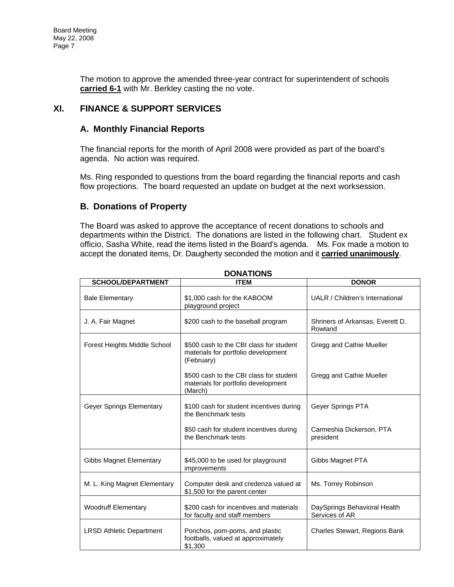The motion to approve the amended three-year contract for superintendent of schools **carried 6-1** with Mr. Berkley casting the no vote.

## **XI. FINANCE & SUPPORT SERVICES**

### **A. Monthly Financial Reports**

The financial reports for the month of April 2008 were provided as part of the board's agenda. No action was required.

Ms. Ring responded to questions from the board regarding the financial reports and cash flow projections. The board requested an update on budget at the next worksession.

### **B. Donations of Property**

The Board was asked to approve the acceptance of recent donations to schools and departments within the District. The donations are listed in the following chart. Student ex officio, Sasha White, read the items listed in the Board's agenda. Ms. Fox made a motion to accept the donated items, Dr. Daugherty seconded the motion and it **carried unanimously**.

| <b>SCHOOL/DEPARTMENT</b>        | <b>ITEM</b>                                                                                  | <b>DONOR</b>                                   |
|---------------------------------|----------------------------------------------------------------------------------------------|------------------------------------------------|
| <b>Bale Elementary</b>          | \$1,000 cash for the KABOOM<br>playground project                                            | UALR / Children's International                |
| J. A. Fair Magnet               | \$200 cash to the baseball program                                                           | Shriners of Arkansas, Everett D.<br>Rowland    |
| Forest Heights Middle School    | \$500 cash to the CBI class for student<br>materials for portfolio development<br>(February) | Gregg and Cathie Mueller                       |
|                                 | \$500 cash to the CBI class for student<br>materials for portfolio development<br>(March)    | Gregg and Cathie Mueller                       |
| Geyer Springs Elementary        | \$100 cash for student incentives during<br>the Benchmark tests                              | Gever Springs PTA                              |
|                                 | \$50 cash for student incentives during<br>the Benchmark tests                               | Carmeshia Dickerson, PTA<br>president          |
| Gibbs Magnet Elementary         | \$45,000 to be used for playground<br>improvements                                           | Gibbs Magnet PTA                               |
| M. L. King Magnet Elementary    | Computer desk and credenza valued at<br>\$1,500 for the parent center                        | Ms. Torrey Robinson                            |
| <b>Woodruff Elementary</b>      | \$200 cash for incentives and materials<br>for faculty and staff members                     | DaySprings Behavioral Health<br>Services of AR |
| <b>LRSD Athletic Department</b> | Ponchos, pom-poms, and plastic<br>footballs, valued at approximately<br>\$1,300              | Charles Stewart, Regions Bank                  |

**DONATIONS**